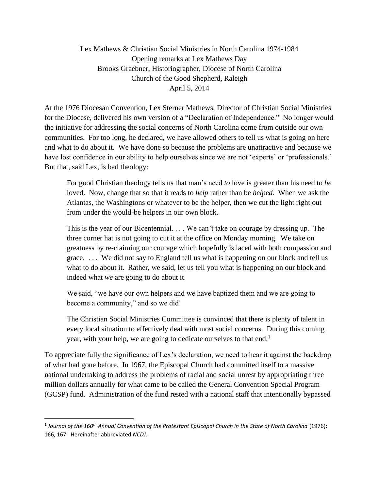Lex Mathews & Christian Social Ministries in North Carolina 1974-1984 Opening remarks at Lex Mathews Day Brooks Graebner, Historiographer, Diocese of North Carolina Church of the Good Shepherd, Raleigh April 5, 2014

At the 1976 Diocesan Convention, Lex Sterner Mathews, Director of Christian Social Ministries for the Diocese, delivered his own version of a "Declaration of Independence." No longer would the initiative for addressing the social concerns of North Carolina come from outside our own communities. For too long, he declared, we have allowed others to tell us what is going on here and what to do about it. We have done so because the problems are unattractive and because we have lost confidence in our ability to help ourselves since we are not 'experts' or 'professionals.' But that, said Lex, is bad theology:

For good Christian theology tells us that man's need *to* love is greater than his need to *be*  loved. Now, change that so that it reads to *help* rather than be *helped.* When we ask the Atlantas, the Washingtons or whatever to be the helper, then we cut the light right out from under the would-be helpers in our own block.

This is the year of our Bicentennial. . . . We can't take on courage by dressing up. The three corner hat is not going to cut it at the office on Monday morning. We take on greatness by re-claiming our courage which hopefully is laced with both compassion and grace. . . . We did not say to England tell us what is happening on our block and tell us what to do about it. Rather, we said, let us tell you what is happening on our block and indeed what *we* are going to do about it.

We said, "we have our own helpers and we have baptized them and we are going to become a community," and so we did!

The Christian Social Ministries Committee is convinced that there is plenty of talent in every local situation to effectively deal with most social concerns. During this coming year, with your help, we are going to dedicate ourselves to that end.<sup>1</sup>

To appreciate fully the significance of Lex's declaration, we need to hear it against the backdrop of what had gone before. In 1967, the Episcopal Church had committed itself to a massive national undertaking to address the problems of racial and social unrest by appropriating three million dollars annually for what came to be called the General Convention Special Program (GCSP) fund. Administration of the fund rested with a national staff that intentionally bypassed

<sup>1</sup> *Journal of the 160th Annual Convention of the Protestant Episcopal Church in the State of North Carolina* (1976): 166, 167. Hereinafter abbreviated *NCDJ*.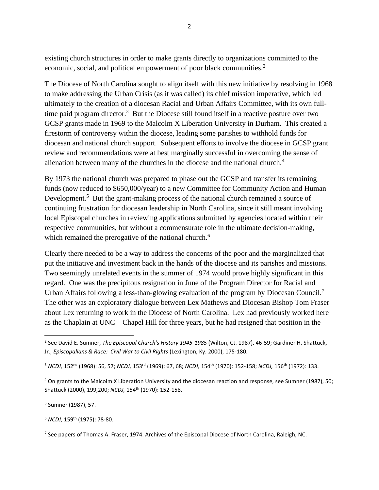existing church structures in order to make grants directly to organizations committed to the economic, social, and political empowerment of poor black communities.<sup>2</sup>

The Diocese of North Carolina sought to align itself with this new initiative by resolving in 1968 to make addressing the Urban Crisis (as it was called) its chief mission imperative, which led ultimately to the creation of a diocesan Racial and Urban Affairs Committee, with its own fulltime paid program director.<sup>3</sup> But the Diocese still found itself in a reactive posture over two GCSP grants made in 1969 to the Malcolm X Liberation University in Durham. This created a firestorm of controversy within the diocese, leading some parishes to withhold funds for diocesan and national church support. Subsequent efforts to involve the diocese in GCSP grant review and recommendations were at best marginally successful in overcoming the sense of alienation between many of the churches in the diocese and the national church.<sup>4</sup>

By 1973 the national church was prepared to phase out the GCSP and transfer its remaining funds (now reduced to \$650,000/year) to a new Committee for Community Action and Human Development.<sup>5</sup> But the grant-making process of the national church remained a source of continuing frustration for diocesan leadership in North Carolina, since it still meant involving local Episcopal churches in reviewing applications submitted by agencies located within their respective communities, but without a commensurate role in the ultimate decision-making, which remained the prerogative of the national church.<sup>6</sup>

Clearly there needed to be a way to address the concerns of the poor and the marginalized that put the initiative and investment back in the hands of the diocese and its parishes and missions. Two seemingly unrelated events in the summer of 1974 would prove highly significant in this regard. One was the precipitous resignation in June of the Program Director for Racial and Urban Affairs following a less-than-glowing evaluation of the program by Diocesan Council.<sup>7</sup> The other was an exploratory dialogue between Lex Mathews and Diocesan Bishop Tom Fraser about Lex returning to work in the Diocese of North Carolina. Lex had previously worked here as the Chaplain at UNC—Chapel Hill for three years, but he had resigned that position in the

5 Sumner (1987), 57.

<sup>6</sup> *NCDJ,* 159th (1975): 78-80.

<sup>2</sup> See David E. Sumner, *The Episcopal Church's History 1945-1985* (Wilton, Ct. 1987), 46-59; Gardiner H. Shattuck, Jr., *Episcopalians & Race: Civil War to Civil Rights* (Lexington, Ky. 2000), 175-180.

<sup>3</sup> *NCDJ,* 152nd (1968): 56, 57; *NCDJ,* 153rd (1969): 67, 68; *NCDJ,* 154th (1970): 152-158; *NCDJ,* 156th (1972): 133.

<sup>4</sup> On grants to the Malcolm X Liberation University and the diocesan reaction and response, see Sumner (1987), 50; Shattuck (2000), 199,200; *NCDJ,* 154th (1970): 152-158.

<sup>&</sup>lt;sup>7</sup> See papers of Thomas A. Fraser, 1974. Archives of the Episcopal Diocese of North Carolina, Raleigh, NC.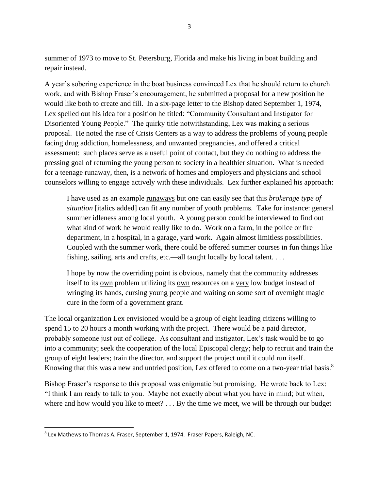summer of 1973 to move to St. Petersburg, Florida and make his living in boat building and repair instead.

A year's sobering experience in the boat business convinced Lex that he should return to church work, and with Bishop Fraser's encouragement, he submitted a proposal for a new position he would like both to create and fill. In a six-page letter to the Bishop dated September 1, 1974, Lex spelled out his idea for a position he titled: "Community Consultant and Instigator for Disoriented Young People." The quirky title notwithstanding, Lex was making a serious proposal. He noted the rise of Crisis Centers as a way to address the problems of young people facing drug addiction, homelessness, and unwanted pregnancies, and offered a critical assessment: such places serve as a useful point of contact, but they do nothing to address the pressing goal of returning the young person to society in a healthier situation. What is needed for a teenage runaway, then, is a network of homes and employers and physicians and school counselors willing to engage actively with these individuals. Lex further explained his approach:

I have used as an example runaways but one can easily see that this *brokerage type of situation* [italics added] can fit any number of youth problems. Take for instance: general summer idleness among local youth. A young person could be interviewed to find out what kind of work he would really like to do. Work on a farm, in the police or fire department, in a hospital, in a garage, yard work. Again almost limitless possibilities. Coupled with the summer work, there could be offered summer courses in fun things like fishing, sailing, arts and crafts, etc.—all taught locally by local talent. . . .

I hope by now the overriding point is obvious, namely that the community addresses itself to its own problem utilizing its own resources on a very low budget instead of wringing its hands, cursing young people and waiting on some sort of overnight magic cure in the form of a government grant.

The local organization Lex envisioned would be a group of eight leading citizens willing to spend 15 to 20 hours a month working with the project. There would be a paid director, probably someone just out of college. As consultant and instigator, Lex's task would be to go into a community; seek the cooperation of the local Episcopal clergy; help to recruit and train the group of eight leaders; train the director, and support the project until it could run itself. Knowing that this was a new and untried position, Lex offered to come on a two-year trial basis.<sup>8</sup>

Bishop Fraser's response to this proposal was enigmatic but promising. He wrote back to Lex: "I think I am ready to talk to you. Maybe not exactly about what you have in mind; but when, where and how would you like to meet? . . . By the time we meet, we will be through our budget

<sup>&</sup>lt;sup>8</sup> Lex Mathews to Thomas A. Fraser, September 1, 1974. Fraser Papers, Raleigh, NC.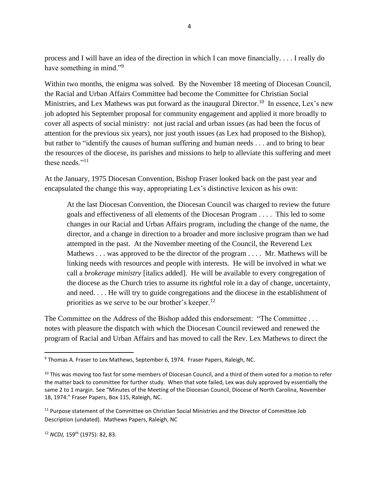process and I will have an idea of the direction in which I can move financially. . . . I really do have something in mind."<sup>9</sup>

Within two months, the enigma was solved. By the November 18 meeting of Diocesan Council, the Racial and Urban Affairs Committee had become the Committee for Christian Social Ministries, and Lex Mathews was put forward as the inaugural Director.<sup>10</sup> In essence, Lex's new job adopted his September proposal for community engagement and applied it more broadly to cover all aspects of social ministry: not just racial and urban issues (as had been the focus of attention for the previous six years), nor just youth issues (as Lex had proposed to the Bishop), but rather to "identify the causes of human suffering and human needs . . . and to bring to bear the resources of the diocese, its parishes and missions to help to alleviate this suffering and meet these needs."<sup>11</sup>

At the January, 1975 Diocesan Convention, Bishop Fraser looked back on the past year and encapsulated the change this way, appropriating Lex's distinctive lexicon as his own:

At the last Diocesan Convention, the Diocesan Council was charged to review the future goals and effectiveness of all elements of the Diocesan Program . . . . This led to some changes in our Racial and Urban Affairs program, including the change of the name, the director, and a change in direction to a broader and more inclusive program than we had attempted in the past. At the November meeting of the Council, the Reverend Lex Mathews . . . was approved to be the director of the program . . . . Mr. Mathews will be linking needs with resources and people with interests. He will be involved in what we call a *brokerage ministry* [italics added]. He will be available to every congregation of the diocese as the Church tries to assume its rightful role in a day of change, uncertainty, and need. . . . He will try to guide congregations and the diocese in the establishment of priorities as we serve to be our brother's keeper.<sup>12</sup>

The Committee on the Address of the Bishop added this endorsement: "The Committee . . . notes with pleasure the dispatch with which the Diocesan Council reviewed and renewed the program of Racial and Urban Affairs and has moved to call the Rev. Lex Mathews to direct the

<sup>&</sup>lt;sup>9</sup> Thomas A. Fraser to Lex Mathews, September 6, 1974. Fraser Papers, Raleigh, NC.

<sup>&</sup>lt;sup>10</sup> This was moving too fast for some members of Diocesan Council, and a third of them voted for a motion to refer the matter back to committee for further study. When that vote failed, Lex was duly approved by essentially the same 2 to 1 margin. See "Minutes of the Meeting of the Diocesan Council, Diocese of North Carolina, November 18, 1974." Fraser Papers, Box 115, Raleigh, NC.

<sup>&</sup>lt;sup>11</sup> Purpose statement of the Committee on Christian Social Ministries and the Director of Committee Job Description (undated). Mathews Papers, Raleigh, NC

<sup>12</sup> *NCDJ,* 159th (1975): 82, 83.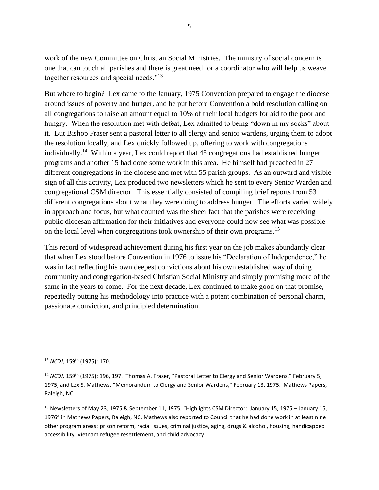work of the new Committee on Christian Social Ministries. The ministry of social concern is one that can touch all parishes and there is great need for a coordinator who will help us weave together resources and special needs."<sup>13</sup>

But where to begin? Lex came to the January, 1975 Convention prepared to engage the diocese around issues of poverty and hunger, and he put before Convention a bold resolution calling on all congregations to raise an amount equal to 10% of their local budgets for aid to the poor and hungry. When the resolution met with defeat, Lex admitted to being "down in my socks" about it. But Bishop Fraser sent a pastoral letter to all clergy and senior wardens, urging them to adopt the resolution locally, and Lex quickly followed up, offering to work with congregations individually.<sup>14</sup> Within a year, Lex could report that 45 congregations had established hunger programs and another 15 had done some work in this area. He himself had preached in 27 different congregations in the diocese and met with 55 parish groups. As an outward and visible sign of all this activity, Lex produced two newsletters which he sent to every Senior Warden and congregational CSM director. This essentially consisted of compiling brief reports from 53 different congregations about what they were doing to address hunger. The efforts varied widely in approach and focus, but what counted was the sheer fact that the parishes were receiving public diocesan affirmation for their initiatives and everyone could now see what was possible on the local level when congregations took ownership of their own programs.<sup>15</sup>

This record of widespread achievement during his first year on the job makes abundantly clear that when Lex stood before Convention in 1976 to issue his "Declaration of Independence," he was in fact reflecting his own deepest convictions about his own established way of doing community and congregation-based Christian Social Ministry and simply promising more of the same in the years to come. For the next decade, Lex continued to make good on that promise, repeatedly putting his methodology into practice with a potent combination of personal charm, passionate conviction, and principled determination.

<sup>13</sup> *NCDJ,* 159th (1975): 170.

<sup>&</sup>lt;sup>14</sup> *NCDJ*, 159<sup>th</sup> (1975): 196, 197. Thomas A. Fraser, "Pastoral Letter to Clergy and Senior Wardens," February 5, 1975, and Lex S. Mathews, "Memorandum to Clergy and Senior Wardens," February 13, 1975. Mathews Papers, Raleigh, NC.

<sup>&</sup>lt;sup>15</sup> Newsletters of May 23, 1975 & September 11, 1975; "Highlights CSM Director: January 15, 1975 - January 15, 1976" in Mathews Papers, Raleigh, NC. Mathews also reported to Council that he had done work in at least nine other program areas: prison reform, racial issues, criminal justice, aging, drugs & alcohol, housing, handicapped accessibility, Vietnam refugee resettlement, and child advocacy.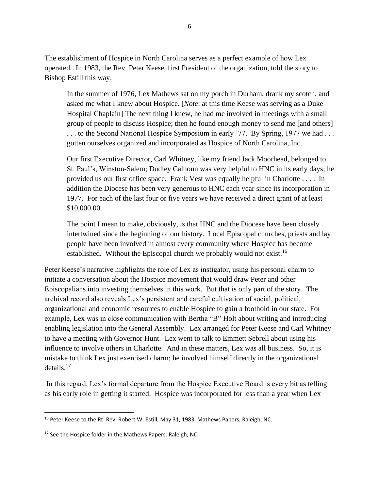The establishment of Hospice in North Carolina serves as a perfect example of how Lex operated. In 1983, the Rev. Peter Keese, first President of the organization, told the story to Bishop Estill this way:

In the summer of 1976, Lex Mathews sat on my porch in Durham, drank my scotch, and asked me what I knew about Hospice. [*Note*: at this time Keese was serving as a Duke Hospital Chaplain] The next thing I knew, he had me involved in meetings with a small group of people to discuss Hospice; then he found enough money to send me [and others] ... to the Second National Hospice Symposium in early '77. By Spring, 1977 we had ... gotten ourselves organized and incorporated as Hospice of North Carolina, Inc.

Our first Executive Director, Carl Whitney, like my friend Jack Moorhead, belonged to St. Paul's, Winston-Salem; Dudley Calhoun was very helpful to HNC in its early days; he provided us our first office space. Frank Vest was equally helpful in Charlotte . . . . In addition the Diocese has been very generous to HNC each year since its incorporation in 1977. For each of the last four or five years we have received a direct grant of at least \$10,000.00.

The point I mean to make, obviously, is that HNC and the Diocese have been closely intertwined since the beginning of our history. Local Episcopal churches, priests and lay people have been involved in almost every community where Hospice has become established. Without the Episcopal church we probably would not exist.<sup>16</sup>

Peter Keese's narrative highlights the role of Lex as instigator, using his personal charm to initiate a conversation about the Hospice movement that would draw Peter and other Episcopalians into investing themselves in this work. But that is only part of the story. The archival record also reveals Lex's persistent and careful cultivation of social, political, organizational and economic resources to enable Hospice to gain a foothold in our state. For example, Lex was in close communication with Bertha "B" Holt about writing and introducing enabling legislation into the General Assembly. Lex arranged for Peter Keese and Carl Whitney to have a meeting with Governor Hunt. Lex went to talk to Emmett Sebrell about using his influence to involve others in Charlotte. And in these matters, Lex was all business. So, it is mistake to think Lex just exercised charm; he involved himself directly in the organizational details.<sup>17</sup>

In this regard, Lex's formal departure from the Hospice Executive Board is every bit as telling as his early role in getting it started. Hospice was incorporated for less than a year when Lex

<sup>&</sup>lt;sup>16</sup> Peter Keese to the Rt. Rev. Robert W. Estill, May 31, 1983. Mathews Papers, Raleigh, NC.

<sup>&</sup>lt;sup>17</sup> See the Hospice folder in the Mathews Papers. Raleigh, NC.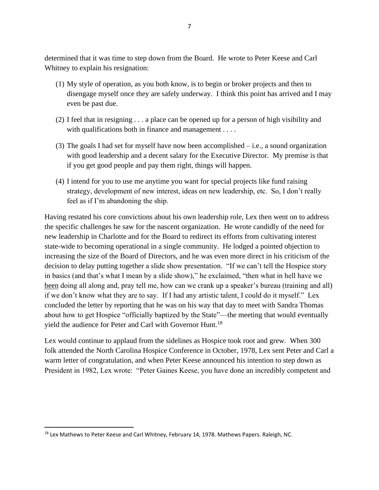determined that it was time to step down from the Board. He wrote to Peter Keese and Carl Whitney to explain his resignation:

- (1) My style of operation, as you both know, is to begin or broker projects and then to disengage myself once they are safely underway. I think this point has arrived and I may even be past due.
- (2) I feel that in resigning . . . a place can be opened up for a person of high visibility and with qualifications both in finance and management . . . .
- (3) The goals I had set for myself have now been accomplished i.e., a sound organization with good leadership and a decent salary for the Executive Director. My premise is that if you get good people and pay them right, things will happen.
- (4) I intend for you to use me anytime you want for special projects like fund raising strategy, development of new interest, ideas on new leadership, etc. So, I don't really feel as if I'm abandoning the ship.

Having restated his core convictions about his own leadership role, Lex then went on to address the specific challenges he saw for the nascent organization. He wrote candidly of the need for new leadership in Charlotte and for the Board to redirect its efforts from cultivating interest state-wide to becoming operational in a single community. He lodged a pointed objection to increasing the size of the Board of Directors, and he was even more direct in his criticism of the decision to delay putting together a slide show presentation. "If we can't tell the Hospice story in basics (and that's what I mean by a slide show)," he exclaimed, "then what in hell have we been doing all along and, pray tell me, how can we crank up a speaker's bureau (training and all) if we don't know what they are to say. If I had any artistic talent, I could do it myself." Lex concluded the letter by reporting that he was on his way that day to meet with Sandra Thomas about how to get Hospice "officially baptized by the State"—the meeting that would eventually yield the audience for Peter and Carl with Governor Hunt.<sup>18</sup>

Lex would continue to applaud from the sidelines as Hospice took root and grew. When 300 folk attended the North Carolina Hospice Conference in October, 1978, Lex sent Peter and Carl a warm letter of congratulation, and when Peter Keese announced his intention to step down as President in 1982, Lex wrote: "Peter Gaines Keese, you have done an incredibly competent and

<sup>&</sup>lt;sup>18</sup> Lex Mathews to Peter Keese and Carl Whitney, February 14, 1978. Mathews Papers. Raleigh, NC.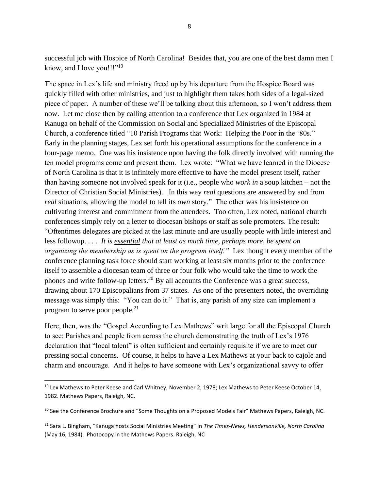successful job with Hospice of North Carolina! Besides that, you are one of the best damn men I know, and I love you!!!"<sup>19</sup>

The space in Lex's life and ministry freed up by his departure from the Hospice Board was quickly filled with other ministries, and just to highlight them takes both sides of a legal-sized piece of paper. A number of these we'll be talking about this afternoon, so I won't address them now. Let me close then by calling attention to a conference that Lex organized in 1984 at Kanuga on behalf of the Commission on Social and Specialized Ministries of the Episcopal Church, a conference titled "10 Parish Programs that Work: Helping the Poor in the '80s." Early in the planning stages, Lex set forth his operational assumptions for the conference in a four-page memo. One was his insistence upon having the folk directly involved with running the ten model programs come and present them. Lex wrote: "What we have learned in the Diocese of North Carolina is that it is infinitely more effective to have the model present itself, rather than having someone not involved speak for it (i.e., people who *work in* a soup kitchen – not the Director of Christian Social Ministries). In this way *real* questions are answered by and from *real* situations, allowing the model to tell its *own* story." The other was his insistence on cultivating interest and commitment from the attendees. Too often, Lex noted, national church conferences simply rely on a letter to diocesan bishops or staff as sole promoters. The result: "Oftentimes delegates are picked at the last minute and are usually people with little interest and less followup. . . . *It is essential that at least as much time, perhaps more, be spent on organizing the membership as is spent on the program itself."* Lex thought every member of the conference planning task force should start working at least six months prior to the conference itself to assemble a diocesan team of three or four folk who would take the time to work the phones and write follow-up letters.<sup>20</sup> By all accounts the Conference was a great success, drawing about 170 Episcopalians from 37 states. As one of the presenters noted, the overriding message was simply this: "You can do it." That is, any parish of any size can implement a program to serve poor people.<sup>21</sup>

Here, then, was the "Gospel According to Lex Mathews" writ large for all the Episcopal Church to see: Parishes and people from across the church demonstrating the truth of Lex's 1976 declaration that "local talent" is often sufficient and certainly requisite if we are to meet our pressing social concerns. Of course, it helps to have a Lex Mathews at your back to cajole and charm and encourage. And it helps to have someone with Lex's organizational savvy to offer

<sup>&</sup>lt;sup>19</sup> Lex Mathews to Peter Keese and Carl Whitney, November 2, 1978; Lex Mathews to Peter Keese October 14, 1982. Mathews Papers, Raleigh, NC.

<sup>&</sup>lt;sup>20</sup> See the Conference Brochure and "Some Thoughts on a Proposed Models Fair" Mathews Papers, Raleigh, NC.

<sup>21</sup> Sara L. Bingham, "Kanuga hosts Social Ministries Meeting" in *The Times-News, Hendersonville, North Carolina* (May 16, 1984). Photocopy in the Mathews Papers. Raleigh, NC